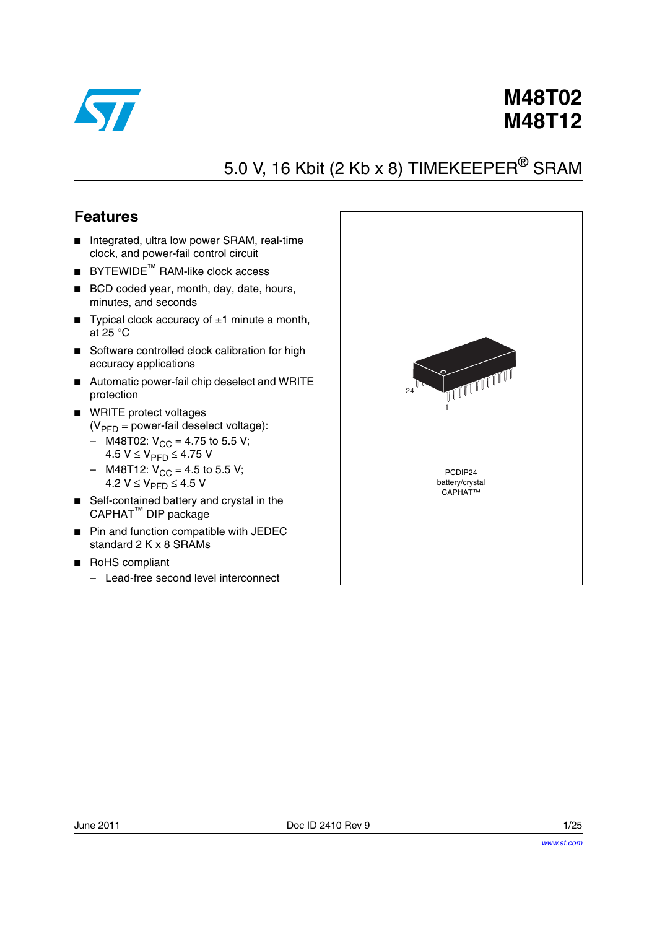

# 5.0 V, 16 Kbit (2 Kb x 8) TIMEKEEPER<sup>®</sup> SRAM

## **Features**

- Integrated, ultra low power SRAM, real-time clock, and power-fail control circuit
- **BYTEWIDE™ RAM-like clock access**
- BCD coded year, month, day, date, hours, minutes, and seconds
- **Typical clock accuracy of**  $\pm 1$  **minute a month,** at 25 °C
- Software controlled clock calibration for high accuracy applications
- Automatic power-fail chip deselect and WRITE protection
- WRITE protect voltages  $(V_{\text{PFD}} =$  power-fail deselect voltage):
	- M48T02:  $V_{CC}$  = 4.75 to 5.5 V;
	- 4.5  $V$  ≤  $V_{\text{PFD}}$  ≤ 4.75 V
	- $-$  M48T12:  $V_{CC} = 4.5$  to 5.5 V; 4.2  $V$  ≤  $V_{\text{PFD}}$  ≤ 4.5 V
- Self-contained battery and crystal in the CAPHAT™ DIP package
- Pin and function compatible with JEDEC standard 2 K x 8 SRAMs
- RoHS compliant
	- Lead-free second level interconnect

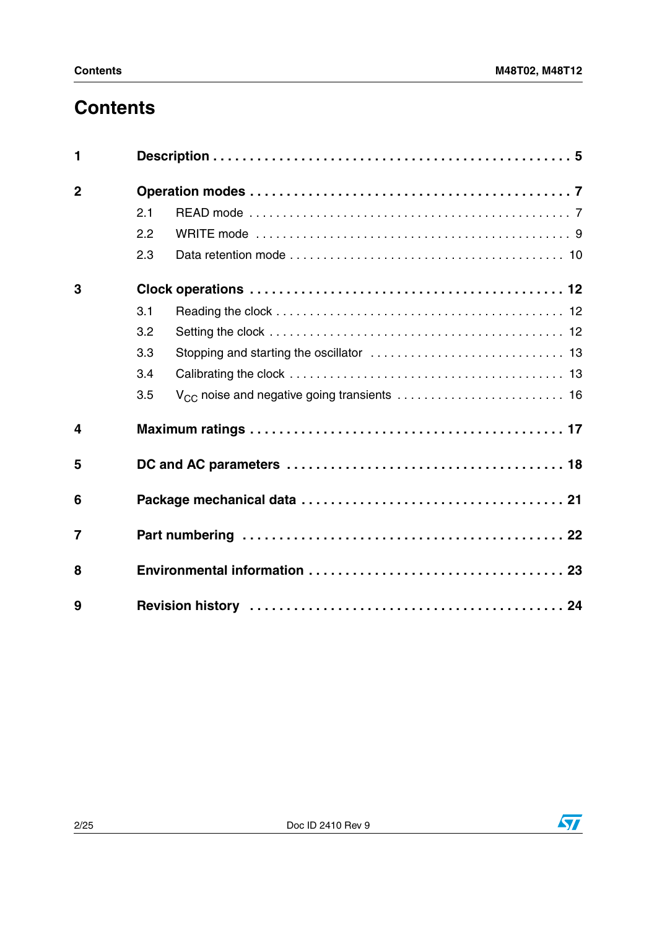# **Contents**

| 1              |     |                                                         |
|----------------|-----|---------------------------------------------------------|
| $\overline{2}$ |     |                                                         |
|                | 2.1 |                                                         |
|                | 2.2 |                                                         |
|                | 2.3 |                                                         |
| 3              |     |                                                         |
|                | 3.1 |                                                         |
|                | 3.2 |                                                         |
|                | 3.3 |                                                         |
|                | 3.4 |                                                         |
|                | 3.5 | V <sub>CC</sub> noise and negative going transients  16 |
| 4              |     |                                                         |
| 5              |     |                                                         |
| 6              |     |                                                         |
| $\overline{7}$ |     |                                                         |
| 8              |     |                                                         |
| 9              |     |                                                         |

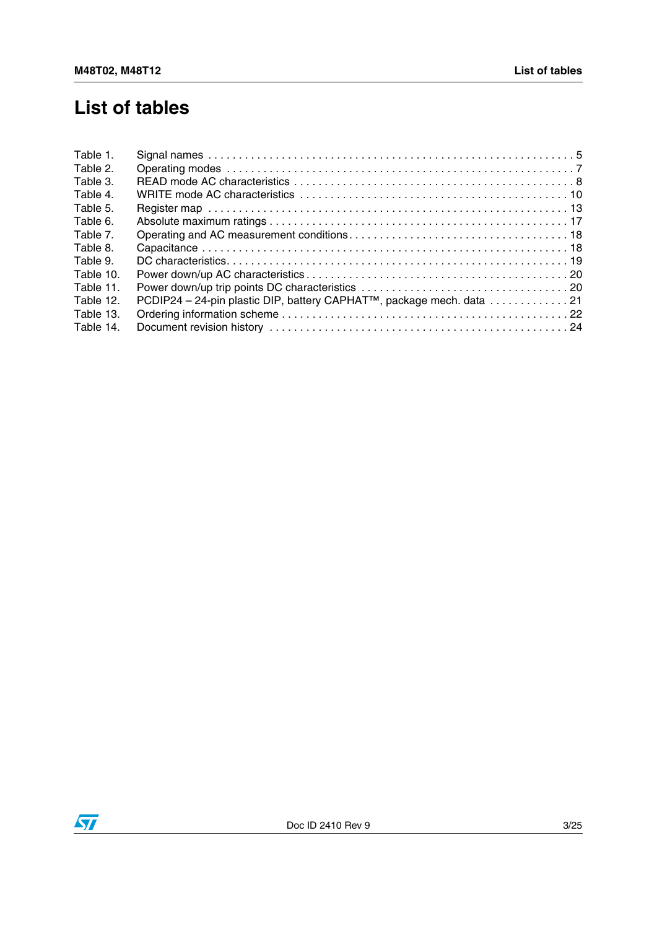# **List of tables**

| Table 1.  |                                                                                   |  |
|-----------|-----------------------------------------------------------------------------------|--|
| Table 2.  |                                                                                   |  |
| Table 3.  |                                                                                   |  |
| Table 4.  |                                                                                   |  |
| Table 5.  |                                                                                   |  |
| Table 6.  |                                                                                   |  |
| Table 7.  |                                                                                   |  |
| Table 8.  |                                                                                   |  |
| Table 9.  |                                                                                   |  |
| Table 10. |                                                                                   |  |
| Table 11. |                                                                                   |  |
| Table 12. | PCDIP24 - 24-pin plastic DIP, battery CAPHAT <sup>™</sup> , package mech. data 21 |  |
| Table 13. |                                                                                   |  |
| Table 14. |                                                                                   |  |
|           |                                                                                   |  |

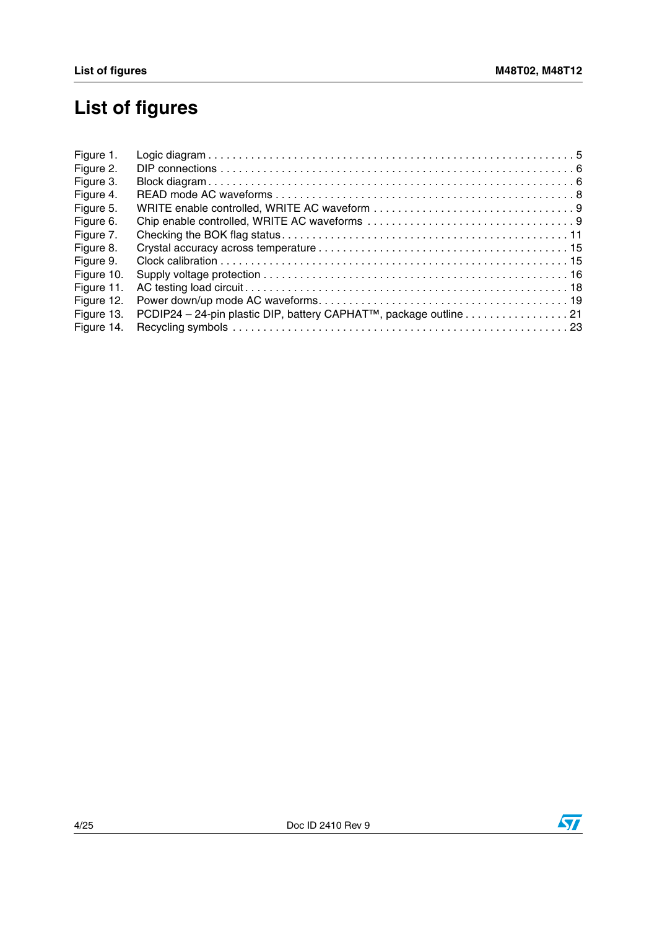# **List of figures**

| Figure 1.  |                                                                                |  |
|------------|--------------------------------------------------------------------------------|--|
| Figure 2.  |                                                                                |  |
| Figure 3.  |                                                                                |  |
| Figure 4.  |                                                                                |  |
| Figure 5.  |                                                                                |  |
| Figure 6.  |                                                                                |  |
| Figure 7.  |                                                                                |  |
| Figure 8.  |                                                                                |  |
| Figure 9.  |                                                                                |  |
| Figure 10. |                                                                                |  |
| Figure 11. |                                                                                |  |
| Figure 12. |                                                                                |  |
| Figure 13. | PCDIP24 - 24-pin plastic DIP, battery CAPHAT <sup>™</sup> , package outline 21 |  |
| Figure 14. |                                                                                |  |
|            |                                                                                |  |

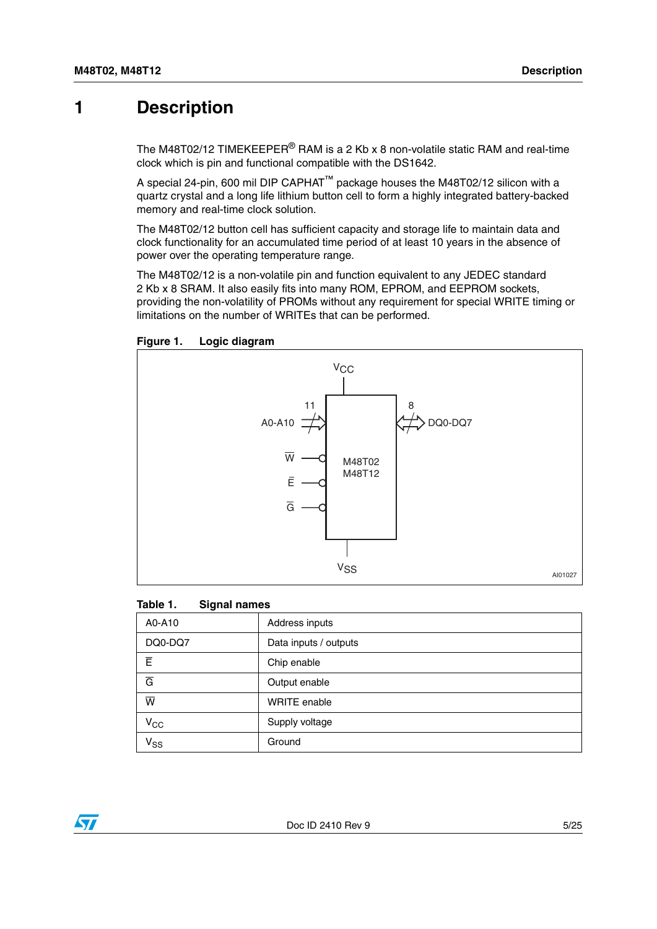## <span id="page-4-0"></span>**1 Description**

The M48T02/12 TIMEKEEPER<sup>®</sup> RAM is a 2 Kb x 8 non-volatile static RAM and real-time clock which is pin and functional compatible with the DS1642.

A special 24-pin, 600 mil DIP CAPHAT™ package houses the M48T02/12 silicon with a quartz crystal and a long life lithium button cell to form a highly integrated battery-backed memory and real-time clock solution.

The M48T02/12 button cell has sufficient capacity and storage life to maintain data and clock functionality for an accumulated time period of at least 10 years in the absence of power over the operating temperature range.

The M48T02/12 is a non-volatile pin and function equivalent to any JEDEC standard 2 Kb x 8 SRAM. It also easily fits into many ROM, EPROM, and EEPROM sockets, providing the non-volatility of PROMs without any requirement for special WRITE timing or limitations on the number of WRITEs that can be performed.



<span id="page-4-2"></span>**Figure 1. Logic diagram**

#### <span id="page-4-1"></span>**Table 1. Signal names**

| A0-A10                     | Address inputs        |
|----------------------------|-----------------------|
| DQ0-DQ7                    | Data inputs / outputs |
| Ē                          | Chip enable           |
| $\overline{G}$             | Output enable         |
| $\overline{\mathsf{w}}$    | <b>WRITE</b> enable   |
| $V_{CC}$                   | Supply voltage        |
| $\mathsf{v}_{\mathsf{ss}}$ | Ground                |

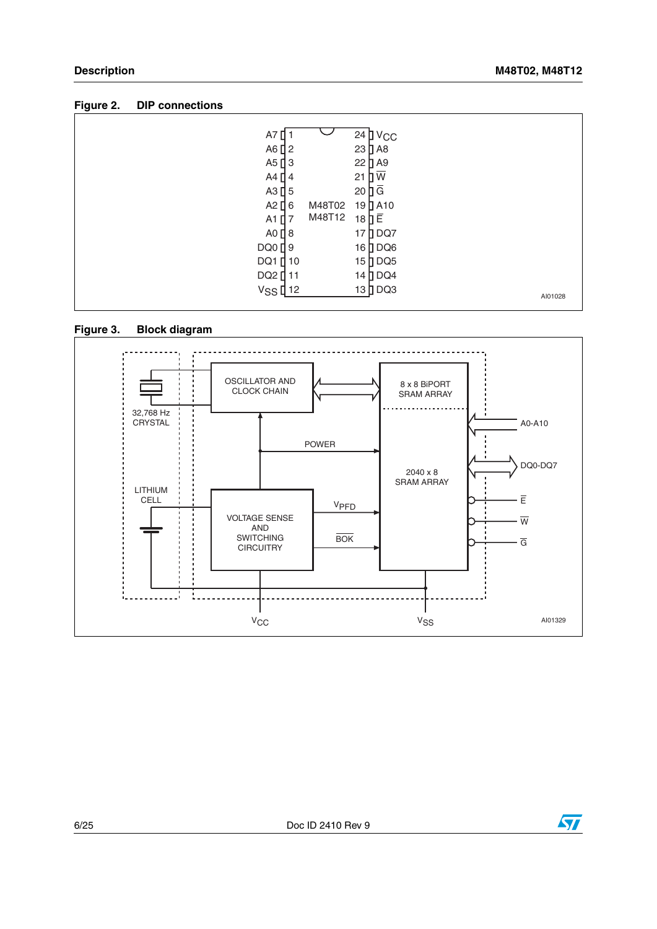<span id="page-5-0"></span>

| Figure 2. |  |  | <b>DIP</b> connections |
|-----------|--|--|------------------------|
|-----------|--|--|------------------------|

| A7<br>A6 $[$ 2<br>$A5$ $13$<br>A4 [ 4<br>$A3$ [ 5<br>A2 $[6]$<br>A1 $[]$ 7<br>$AO$ $18$<br>$DQ0$ [ 9<br>DQ1 [ 10 | M48T02<br>M48T12 | $24$ $\text{V}$ CC<br>23 D A8<br>22 D A9<br>Пw<br>21<br>$20 \overline{\mathsf{a}}$<br>19 D A 10<br>18日目<br>17 DQ7<br>16 DQ6<br>$15$ DQ5 |         |
|------------------------------------------------------------------------------------------------------------------|------------------|-----------------------------------------------------------------------------------------------------------------------------------------|---------|
| DQ2 [ 11<br>V <sub>SS</sub> [12                                                                                  |                  | 14 DQ4<br>$13$ DQ3                                                                                                                      | AI01028 |

<span id="page-5-1"></span>



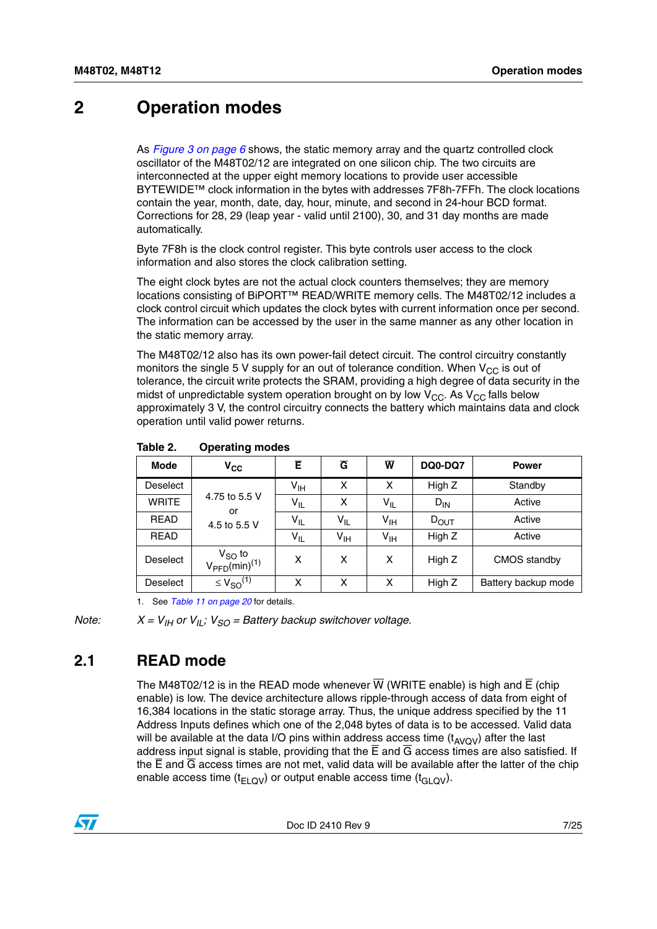## <span id="page-6-0"></span>**2 Operation modes**

As *[Figure 3 on page 6](#page-5-1)* shows, the static memory array and the quartz controlled clock oscillator of the M48T02/12 are integrated on one silicon chip. The two circuits are interconnected at the upper eight memory locations to provide user accessible BYTEWIDE™ clock information in the bytes with addresses 7F8h-7FFh. The clock locations contain the year, month, date, day, hour, minute, and second in 24-hour BCD format. Corrections for 28, 29 (leap year - valid until 2100), 30, and 31 day months are made automatically.

Byte 7F8h is the clock control register. This byte controls user access to the clock information and also stores the clock calibration setting.

The eight clock bytes are not the actual clock counters themselves; they are memory locations consisting of BiPORT™ READ/WRITE memory cells. The M48T02/12 includes a clock control circuit which updates the clock bytes with current information once per second. The information can be accessed by the user in the same manner as any other location in the static memory array.

The M48T02/12 also has its own power-fail detect circuit. The control circuitry constantly monitors the single 5 V supply for an out of tolerance condition. When  $V_{CC}$  is out of tolerance, the circuit write protects the SRAM, providing a high degree of data security in the midst of unpredictable system operation brought on by low  $V_{CC}$ . As  $V_{CC}$  falls below approximately 3 V, the control circuitry connects the battery which maintains data and clock operation until valid power returns.

| <b>Mode</b>     | $v_{\rm cc}$                                         | Ē               | $\overline{G}$  | $\overline{\mathsf{w}}$ | DQ0-DQ7          | <b>Power</b>        |
|-----------------|------------------------------------------------------|-----------------|-----------------|-------------------------|------------------|---------------------|
| <b>Deselect</b> |                                                      | V <sub>IH</sub> | X               | X                       | High Z           | Standby             |
| <b>WRITE</b>    | 4.75 to 5.5 V<br>or                                  | $V_{IL}$        | X               | $V_{IL}$                | $D_{IN}$         | Active              |
| <b>READ</b>     | 4.5 to 5.5 V                                         | V <sub>IL</sub> | $V_{IL}$        | $V_{\text{IH}}$         | $D_{\text{OUT}}$ | Active              |
| <b>READ</b>     |                                                      | $V_{IL}$        | $V_{\text{IH}}$ | $V_{\text{IH}}$         | High Z           | Active              |
| <b>Deselect</b> | $V_{SO}$ to<br>V <sub>PFD</sub> (min) <sup>(1)</sup> | x               | x               | X                       | High Z           | CMOS standby        |
| <b>Deselect</b> | $\leq$ $V_{SO}^{(1)}$                                | x               | x               | x                       | High Z           | Battery backup mode |

<span id="page-6-2"></span>**Table 2. Operating modes**

1. See *[Table 11 on page 20](#page-19-1)* for details.

*Note:*  $X = V_{\text{IH}}$  or  $V_{\text{II}}$ ;  $V_{SO}$  = Battery backup switchover voltage.

### <span id="page-6-1"></span>**2.1 READ mode**

The M48T02/12 is in the READ mode whenever  $\overline{W}$  (WRITE enable) is high and  $\overline{E}$  (chip enable) is low. The device architecture allows ripple-through access of data from eight of 16,384 locations in the static storage array. Thus, the unique address specified by the 11 Address Inputs defines which one of the 2,048 bytes of data is to be accessed. Valid data will be available at the data I/O pins within address access time  $(t_{AVOV})$  after the last address input signal is stable, providing that the  $\overline{E}$  and  $\overline{G}$  access times are also satisfied. If the  $\overline{E}$  and  $\overline{G}$  access times are not met, valid data will be available after the latter of the chip enable access time ( $t_{FLOV}$ ) or output enable access time ( $t_{GIOV}$ ).

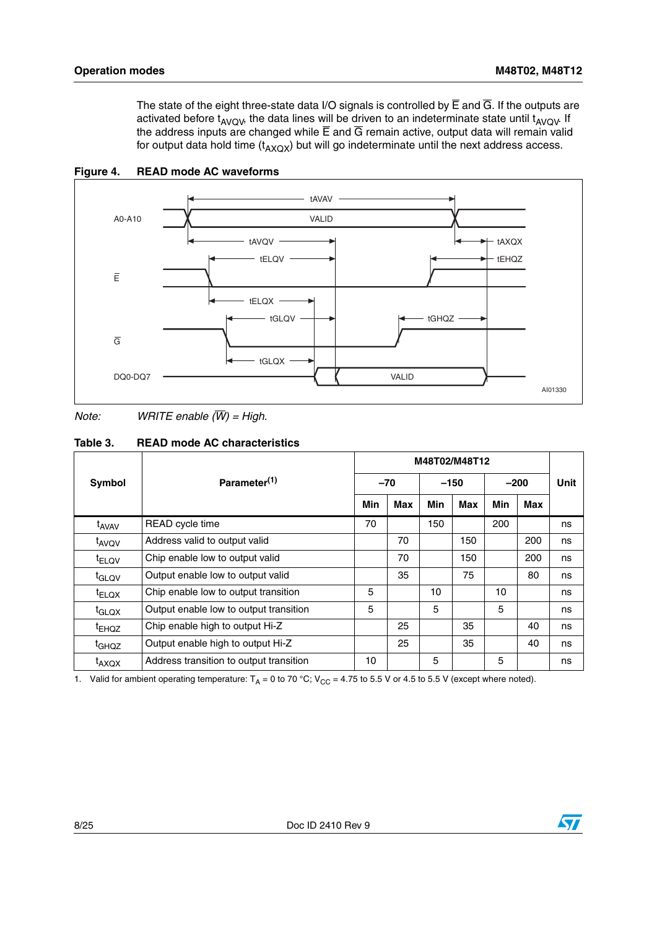The state of the eight three-state data I/O signals is controlled by  $\overline{E}$  and  $\overline{G}$ . If the outputs are activated before  $t_{AVOW}$ , the data lines will be driven to an indeterminate state until  $t_{AVOW}$ . If the address inputs are changed while  $\overline{E}$  and  $\overline{G}$  remain active, output data will remain valid for output data hold time  $(t_{AXOX})$  but will go indeterminate until the next address access.



<span id="page-7-1"></span>**Figure 4. READ mode AC waveforms**

*Note: WRITE enable (W) = High.*

<span id="page-7-0"></span>

| Table 3. | <b>READ mode AC characteristics</b> |  |
|----------|-------------------------------------|--|
|          |                                     |  |

| <b>Symbol</b>     | Parameter <sup>(1)</sup>                | $-70$ |     | $-150$ |     | $-200$ |     | <b>Unit</b> |
|-------------------|-----------------------------------------|-------|-----|--------|-----|--------|-----|-------------|
|                   |                                         | Min   | Max | Min    | Max | Min    | Max |             |
| t <sub>AVAV</sub> | READ cycle time                         | 70    |     | 150    |     | 200    |     | ns          |
| t <sub>AVQV</sub> | Address valid to output valid           |       | 70  |        | 150 |        | 200 | ns          |
| $t_{ELOV}$        | Chip enable low to output valid         |       | 70  |        | 150 |        | 200 | ns          |
| t <sub>GLQV</sub> | Output enable low to output valid       |       | 35  |        | 75  |        | 80  | ns          |
| $t_{ELOX}$        | Chip enable low to output transition    | 5     |     | 10     |     | 10     |     | ns          |
| t <sub>GLQX</sub> | Output enable low to output transition  | 5     |     | 5      |     | 5      |     | ns          |
| <sup>t</sup> EHOZ | Chip enable high to output Hi-Z         |       | 25  |        | 35  |        | 40  | ns          |
| <sup>t</sup> GHQZ | Output enable high to output Hi-Z       |       | 25  |        | 35  |        | 40  | ns          |
| $t_{AXQX}$        | Address transition to output transition | 10    |     | 5      |     | 5      |     | ns          |

1. Valid for ambient operating temperature:  $T_A = 0$  to 70 °C; V<sub>CC</sub> = 4.75 to 5.5 V or 4.5 to 5.5 V (except where noted).

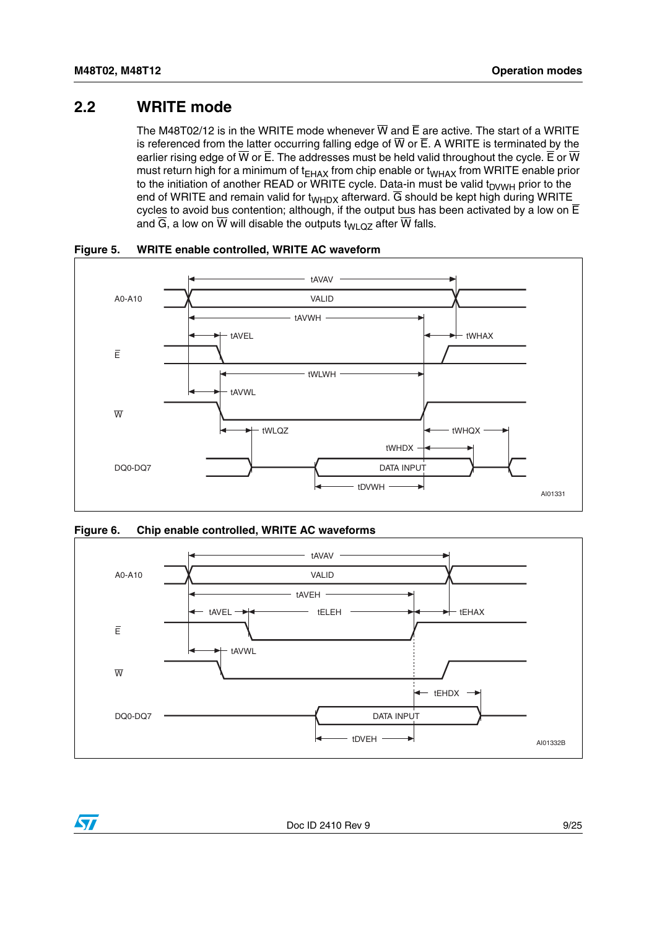### <span id="page-8-0"></span>**2.2 WRITE mode**

The M48T02/12 is in the WRITE mode whenever  $\overline{W}$  and  $\overline{E}$  are active. The start of a WRITE is referenced from the latter occurring falling edge of  $\overline{W}$  or  $\overline{E}$ . A WRITE is terminated by the earlier rising edge of  $\overline{W}$  or  $\overline{E}$ . The addresses must be held valid throughout the cycle.  $\overline{E}$  or  $\overline{W}$ must return high for a minimum of  $t_{EHAX}$  from chip enable or  $t_{WHAX}$  from WRITE enable prior to the initiation of another READ or WRITE cycle. Data-in must be valid  $t_{\text{DVWH}}$  prior to the end of WRITE and remain valid for  $t_{WHDX}$  afterward.  $\overline{G}$  should be kept high during WRITE cycles to avoid bus contention; although, if the output bus has been activated by a low on  $\overline{E}$ and  $\overline{G}$ , a low on  $\overline{W}$  will disable the outputs t<sub>WLQZ</sub> after  $\overline{W}$  falls.



<span id="page-8-1"></span>**Figure 5. WRITE enable controlled, WRITE AC waveform**

<span id="page-8-2"></span>



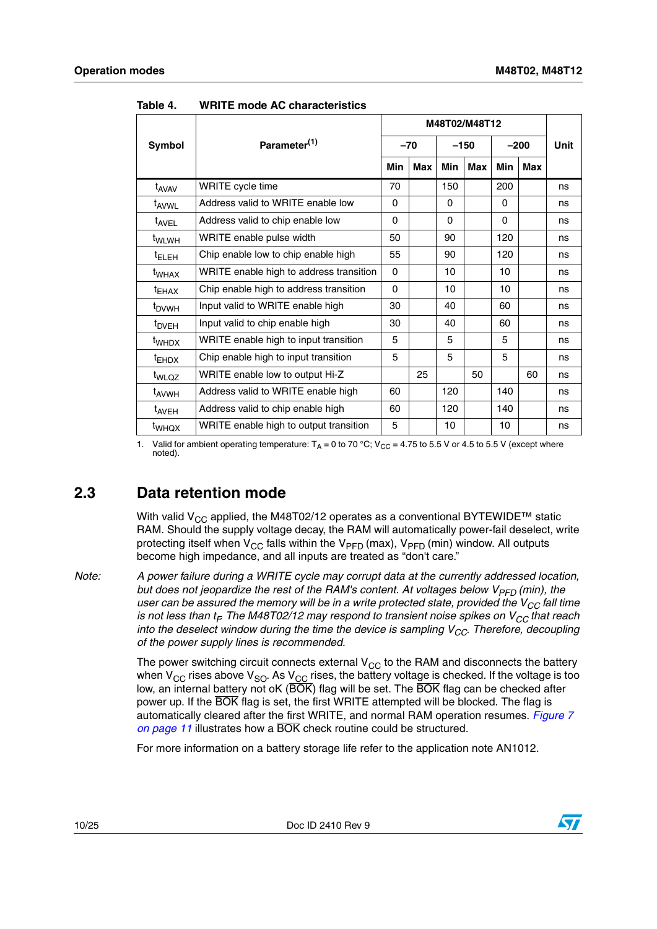| Symbol                       | Parameter <sup>(1)</sup>                | $-70$ |     | $-150$   |     | $-200$     |     | <b>Unit</b> |
|------------------------------|-----------------------------------------|-------|-----|----------|-----|------------|-----|-------------|
|                              |                                         | Min   | Max | Min      | Max | <b>Min</b> | Max |             |
| t <sub>AVAV</sub>            | WRITE cycle time                        | 70    |     | 150      |     | 200        |     | ns          |
| t <sub>AVWL</sub>            | Address valid to WRITE enable low       | 0     |     | $\Omega$ |     | 0          |     | ns          |
| t <sub>AVEL</sub>            | Address valid to chip enable low        | 0     |     | $\Omega$ |     | $\Omega$   |     | ns          |
| t <sub>WLWH</sub>            | WRITE enable pulse width                | 50    |     | 90       |     | 120        |     | ns          |
| <sup>t</sup> ELEH            | Chip enable low to chip enable high     | 55    |     | 90       |     | 120        |     | ns          |
| <sup>t</sup> whax            | WRITE enable high to address transition | 0     |     | 10       |     | 10         |     | ns          |
| <sup>t</sup> EHAX            | Chip enable high to address transition  | 0     |     | 10       |     | 10         |     | ns          |
| <sup>t</sup> <sub>DVWH</sub> | Input valid to WRITE enable high        | 30    |     | 40       |     | 60         |     | ns          |
| t <sub>DVEH</sub>            | Input valid to chip enable high         | 30    |     | 40       |     | 60         |     | ns          |
| t <sub>WHDX</sub>            | WRITE enable high to input transition   | 5     |     | 5        |     | 5          |     | ns          |
| $t_{EHDX}$                   | Chip enable high to input transition    | 5     |     | 5        |     | 5          |     | ns          |
| t <sub>WLQZ</sub>            | WRITE enable low to output Hi-Z         |       | 25  |          | 50  |            | 60  | ns          |
| t <sub>AVWH</sub>            | Address valid to WRITE enable high      | 60    |     | 120      |     | 140        |     | ns          |
| t <sub>AVEH</sub>            | Address valid to chip enable high       | 60    |     | 120      |     | 140        |     | ns          |
| t <sub>WHQX</sub>            | WRITE enable high to output transition  | 5     |     | 10       |     | 10         |     | ns          |

<span id="page-9-1"></span>**Table 4. WRITE mode AC characteristics**

1. Valid for ambient operating temperature:  $T_A = 0$  to 70 °C; V<sub>CC</sub> = 4.75 to 5.5 V or 4.5 to 5.5 V (except where noted).

## <span id="page-9-0"></span>**2.3 Data retention mode**

With valid V<sub>CC</sub> applied, the M48T02/12 operates as a conventional BYTEWIDE<sup>TM</sup> static RAM. Should the supply voltage decay, the RAM will automatically power-fail deselect, write protecting itself when  $V_{CC}$  falls within the  $V_{PFD}$  (max),  $V_{PFD}$  (min) window. All outputs become high impedance, and all inputs are treated as "don't care."

*Note: A power failure during a WRITE cycle may corrupt data at the currently addressed location, but does not jeopardize the rest of the RAM's content. At voltages below V<sub>PFD</sub> (min), the* user can be assured the memory will be in a write protected state, provided the V<sub>CC</sub> fall time *is not less than t<sub>F</sub> The M48T02/12 may respond to transient noise spikes on V<sub>CC</sub> that reach into the deselect window during the time the device is sampling V<sub>CC</sub>. Therefore, decoupling of the power supply lines is recommended.*

> The power switching circuit connects external  $V_{CC}$  to the RAM and disconnects the battery when  $V_{CC}$  rises above  $V_{SO}$ . As  $V_{CC}$  rises, the battery voltage is checked. If the voltage is too low, an internal battery not oK (BOK) flag will be set. The BOK flag can be checked after power up. If the BOK flag is set, the first WRITE attempted will be blocked. The flag is automatically cleared after the first WRITE, and normal RAM operation resumes. *[Figure 7](#page-10-0)  [on page 11](#page-10-0)* illustrates how a BOK check routine could be structured.

For more information on a battery storage life refer to the application note AN1012.

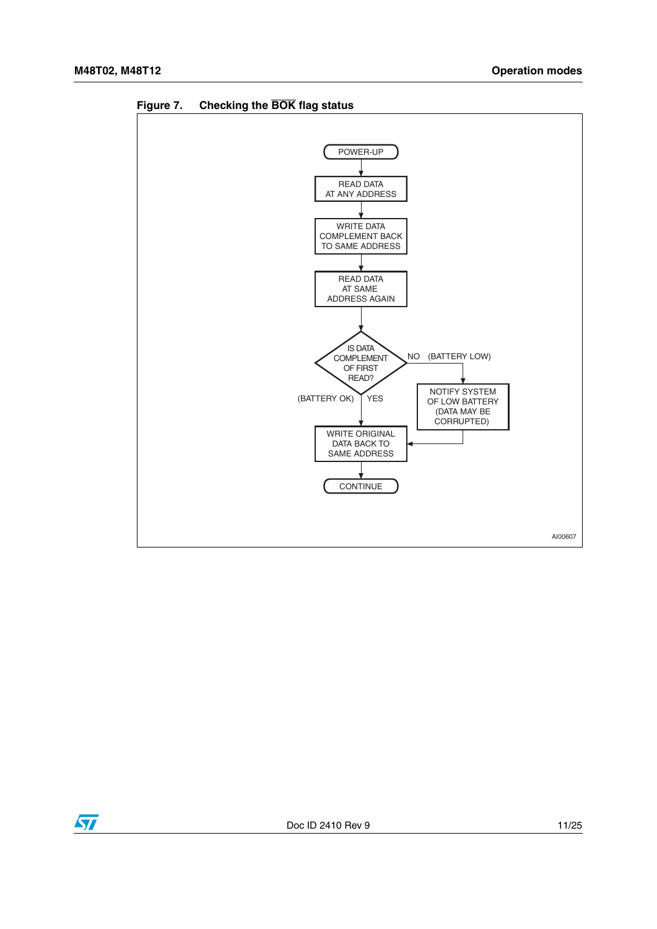

<span id="page-10-0"></span>**Figure 7. Checking the BOK flag status**

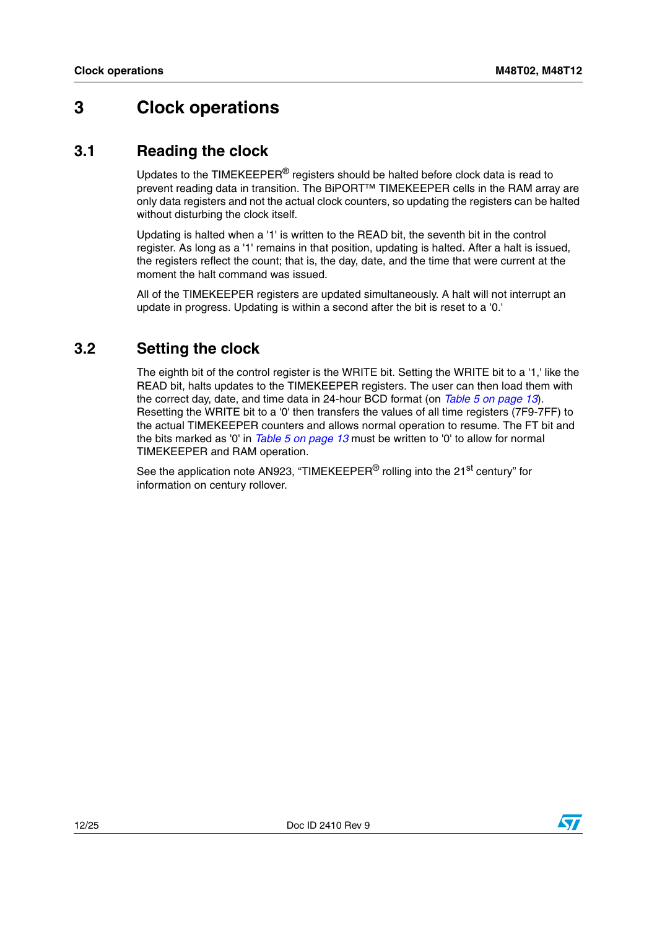# <span id="page-11-0"></span>**3 Clock operations**

### <span id="page-11-1"></span>**3.1 Reading the clock**

Updates to the TIMEKEEPER® registers should be halted before clock data is read to prevent reading data in transition. The BiPORT™ TIMEKEEPER cells in the RAM array are only data registers and not the actual clock counters, so updating the registers can be halted without disturbing the clock itself.

Updating is halted when a '1' is written to the READ bit, the seventh bit in the control register. As long as a '1' remains in that position, updating is halted. After a halt is issued, the registers reflect the count; that is, the day, date, and the time that were current at the moment the halt command was issued.

All of the TIMEKEEPER registers are updated simultaneously. A halt will not interrupt an update in progress. Updating is within a second after the bit is reset to a '0.'

## <span id="page-11-2"></span>**3.2 Setting the clock**

The eighth bit of the control register is the WRITE bit. Setting the WRITE bit to a '1,' like the READ bit, halts updates to the TIMEKEEPER registers. The user can then load them with the correct day, date, and time data in 24-hour BCD format (on *[Table 5 on page 13](#page-12-2)*). Resetting the WRITE bit to a '0' then transfers the values of all time registers (7F9-7FF) to the actual TIMEKEEPER counters and allows normal operation to resume. The FT bit and the bits marked as '0' in *[Table 5 on page 13](#page-12-2)* must be written to '0' to allow for normal TIMEKEEPER and RAM operation.

See the application note AN923, "TIMEKEEPER<sup>®</sup> rolling into the 21<sup>st</sup> century" for information on century rollover.

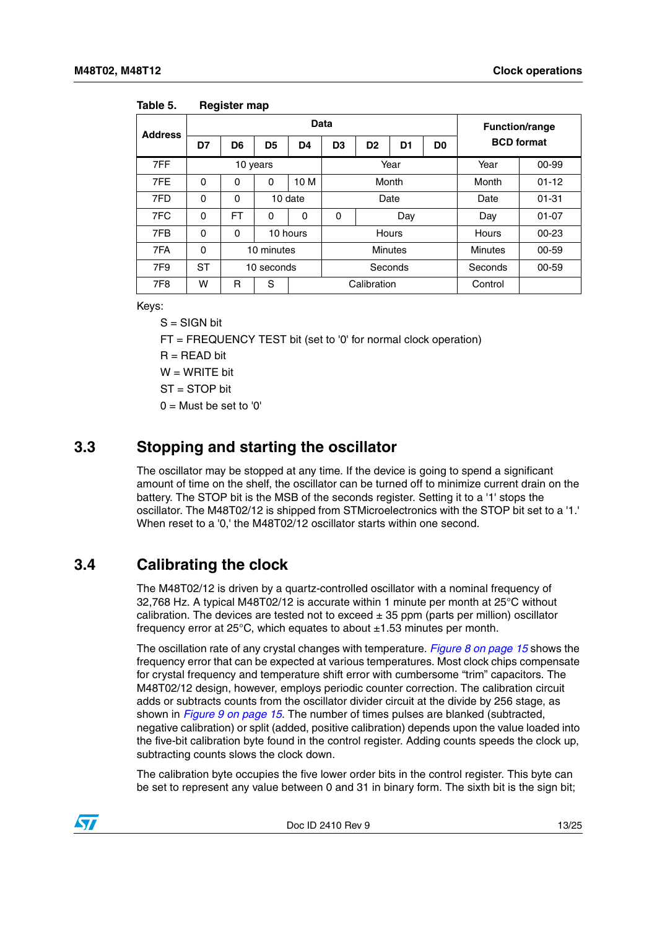| <b>Address</b> |           |           |                | <b>Function/range</b> |                |                |       |                |                   |           |  |
|----------------|-----------|-----------|----------------|-----------------------|----------------|----------------|-------|----------------|-------------------|-----------|--|
|                | D7        | D6        | D <sub>5</sub> | D4                    | D <sub>3</sub> | D <sub>2</sub> | D1    | D <sub>0</sub> | <b>BCD</b> format |           |  |
| 7FF            |           |           | 10 years       |                       | Year           |                |       |                | Year              | 00-99     |  |
| 7FE            | $\Omega$  | 0         | 0              | 10 M                  |                |                | Month |                | Month             | $01 - 12$ |  |
| 7FD            | $\Omega$  | 0         |                | 10 date               | Date           |                |       |                | Date              | $01 - 31$ |  |
| 7FC            | $\Omega$  | <b>FT</b> | $\mathbf 0$    | $\mathbf 0$           | $\Omega$       |                | Day   |                | Day               | $01 - 07$ |  |
| 7FB            | $\Omega$  | 0         | 10 hours       |                       |                | Hours          |       |                | Hours             | $00 - 23$ |  |
| 7FA            | $\Omega$  |           | 10 minutes     | <b>Minutes</b>        |                |                |       |                | <b>Minutes</b>    | 00-59     |  |
| 7F9            | <b>ST</b> |           | 10 seconds     |                       | Seconds        |                |       |                | Seconds           | 00-59     |  |
| 7F8            | w         | R         | S              |                       | Calibration    |                |       |                | Control           |           |  |

<span id="page-12-2"></span>**Table 5. Register map**

Keys:

 $S = S$ IGN bit

FT = FREQUENCY TEST bit (set to '0' for normal clock operation)

 $R = READ$  bit

 $W = WRITF$  bit

ST = STOP bit

 $0 =$  Must be set to '0'

### <span id="page-12-0"></span>**3.3 Stopping and starting the oscillator**

The oscillator may be stopped at any time. If the device is going to spend a significant amount of time on the shelf, the oscillator can be turned off to minimize current drain on the battery. The STOP bit is the MSB of the seconds register. Setting it to a '1' stops the oscillator. The M48T02/12 is shipped from STMicroelectronics with the STOP bit set to a '1.' When reset to a '0,' the M48T02/12 oscillator starts within one second.

### <span id="page-12-1"></span>**3.4 Calibrating the clock**

The M48T02/12 is driven by a quartz-controlled oscillator with a nominal frequency of 32,768 Hz. A typical M48T02/12 is accurate within 1 minute per month at 25°C without calibration. The devices are tested not to exceed  $\pm$  35 ppm (parts per million) oscillator frequency error at  $25^{\circ}$ C, which equates to about  $\pm 1.53$  minutes per month.

The oscillation rate of any crystal changes with temperature. *[Figure 8 on page 15](#page-14-0)* shows the frequency error that can be expected at various temperatures. Most clock chips compensate for crystal frequency and temperature shift error with cumbersome "trim" capacitors. The M48T02/12 design, however, employs periodic counter correction. The calibration circuit adds or subtracts counts from the oscillator divider circuit at the divide by 256 stage, as shown in *[Figure 9 on page 15](#page-14-1)*. The number of times pulses are blanked (subtracted, negative calibration) or split (added, positive calibration) depends upon the value loaded into the five-bit calibration byte found in the control register. Adding counts speeds the clock up, subtracting counts slows the clock down.

The calibration byte occupies the five lower order bits in the control register. This byte can be set to represent any value between 0 and 31 in binary form. The sixth bit is the sign bit;

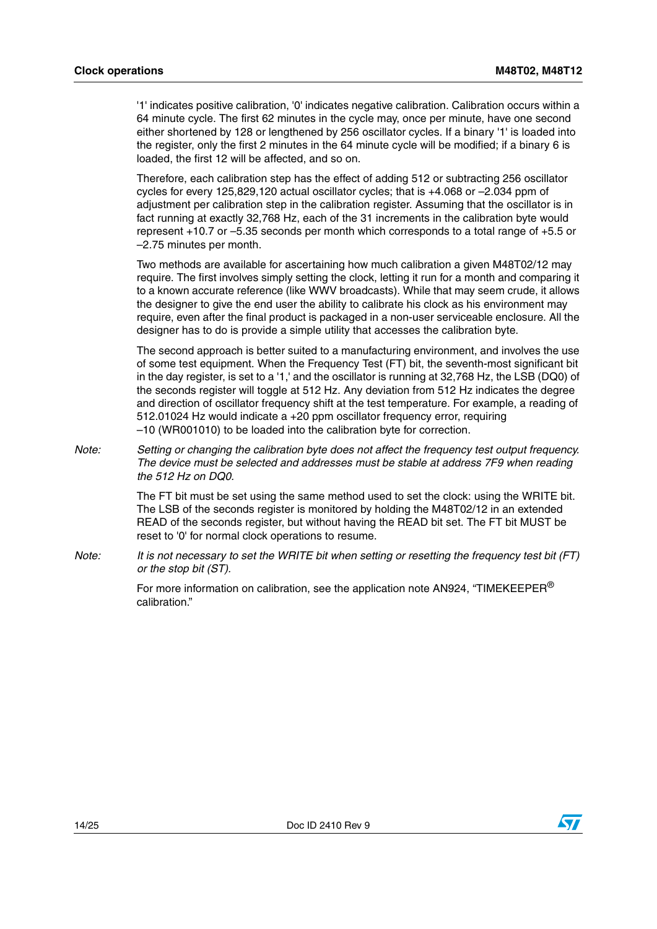'1' indicates positive calibration, '0' indicates negative calibration. Calibration occurs within a 64 minute cycle. The first 62 minutes in the cycle may, once per minute, have one second either shortened by 128 or lengthened by 256 oscillator cycles. If a binary '1' is loaded into the register, only the first 2 minutes in the 64 minute cycle will be modified; if a binary 6 is loaded, the first 12 will be affected, and so on.

Therefore, each calibration step has the effect of adding 512 or subtracting 256 oscillator cycles for every 125,829,120 actual oscillator cycles; that is +4.068 or –2.034 ppm of adjustment per calibration step in the calibration register. Assuming that the oscillator is in fact running at exactly 32,768 Hz, each of the 31 increments in the calibration byte would represent +10.7 or –5.35 seconds per month which corresponds to a total range of +5.5 or –2.75 minutes per month.

Two methods are available for ascertaining how much calibration a given M48T02/12 may require. The first involves simply setting the clock, letting it run for a month and comparing it to a known accurate reference (like WWV broadcasts). While that may seem crude, it allows the designer to give the end user the ability to calibrate his clock as his environment may require, even after the final product is packaged in a non-user serviceable enclosure. All the designer has to do is provide a simple utility that accesses the calibration byte.

The second approach is better suited to a manufacturing environment, and involves the use of some test equipment. When the Frequency Test (FT) bit, the seventh-most significant bit in the day register, is set to a '1,' and the oscillator is running at 32,768 Hz, the LSB (DQ0) of the seconds register will toggle at 512 Hz. Any deviation from 512 Hz indicates the degree and direction of oscillator frequency shift at the test temperature. For example, a reading of 512.01024 Hz would indicate a +20 ppm oscillator frequency error, requiring –10 (WR001010) to be loaded into the calibration byte for correction.

*Note: Setting or changing the calibration byte does not affect the frequency test output frequency. The device must be selected and addresses must be stable at address 7F9 when reading the 512 Hz on DQ0.*

> The FT bit must be set using the same method used to set the clock: using the WRITE bit. The LSB of the seconds register is monitored by holding the M48T02/12 in an extended READ of the seconds register, but without having the READ bit set. The FT bit MUST be reset to '0' for normal clock operations to resume.

*Note: It is not necessary to set the WRITE bit when setting or resetting the frequency test bit (FT) or the stop bit (ST).*

> For more information on calibration, see the application note AN924, "TIMEKEEPER $^{\circledR}$ calibration."



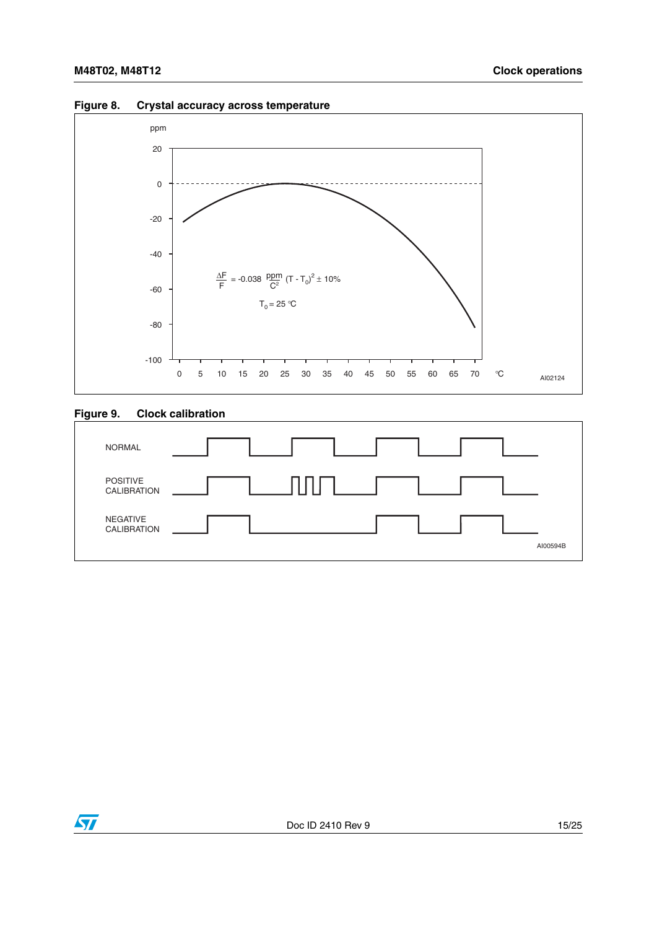

#### <span id="page-14-0"></span>**Figure 8. Crystal accuracy across temperature**

#### <span id="page-14-1"></span>**Figure 9. Clock calibration**



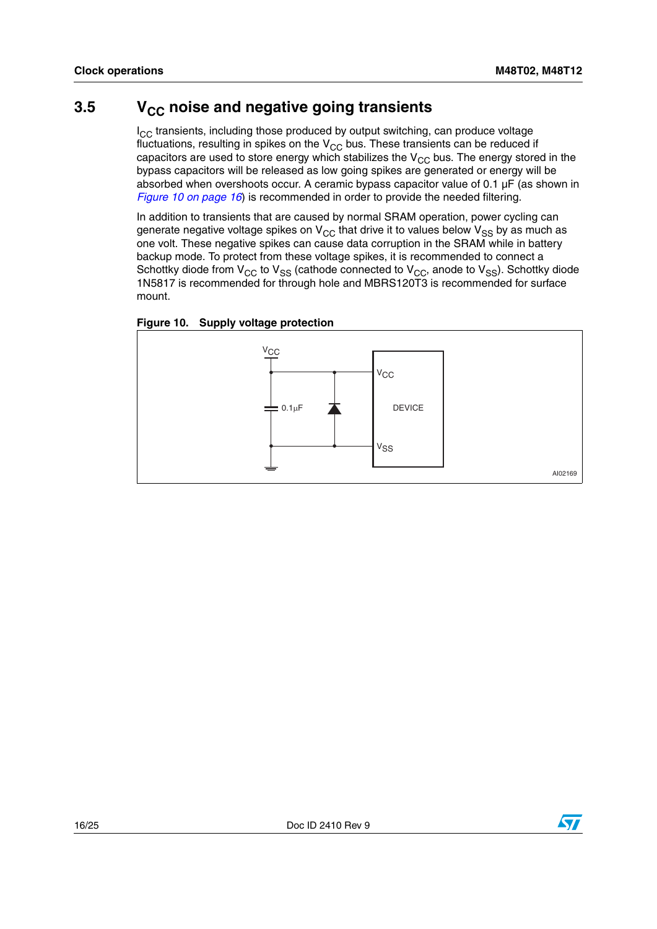## <span id="page-15-0"></span>**3.5** V<sub>CC</sub> noise and negative going transients

 $I_{CC}$  transients, including those produced by output switching, can produce voltage fluctuations, resulting in spikes on the  $V_{CC}$  bus. These transients can be reduced if capacitors are used to store energy which stabilizes the  $V_{CC}$  bus. The energy stored in the bypass capacitors will be released as low going spikes are generated or energy will be absorbed when overshoots occur. A ceramic bypass capacitor value of 0.1 µF (as shown in *[Figure 10 on page 16](#page-15-1)*) is recommended in order to provide the needed filtering.

In addition to transients that are caused by normal SRAM operation, power cycling can generate negative voltage spikes on  $V_{CC}$  that drive it to values below  $V_{SS}$  by as much as one volt. These negative spikes can cause data corruption in the SRAM while in battery backup mode. To protect from these voltage spikes, it is recommended to connect a Schottky diode from  $V_{CC}$  to  $V_{SS}$  (cathode connected to  $V_{CC}$ , anode to  $V_{SS}$ ). Schottky diode 1N5817 is recommended for through hole and MBRS120T3 is recommended for surface mount.

<span id="page-15-1"></span>



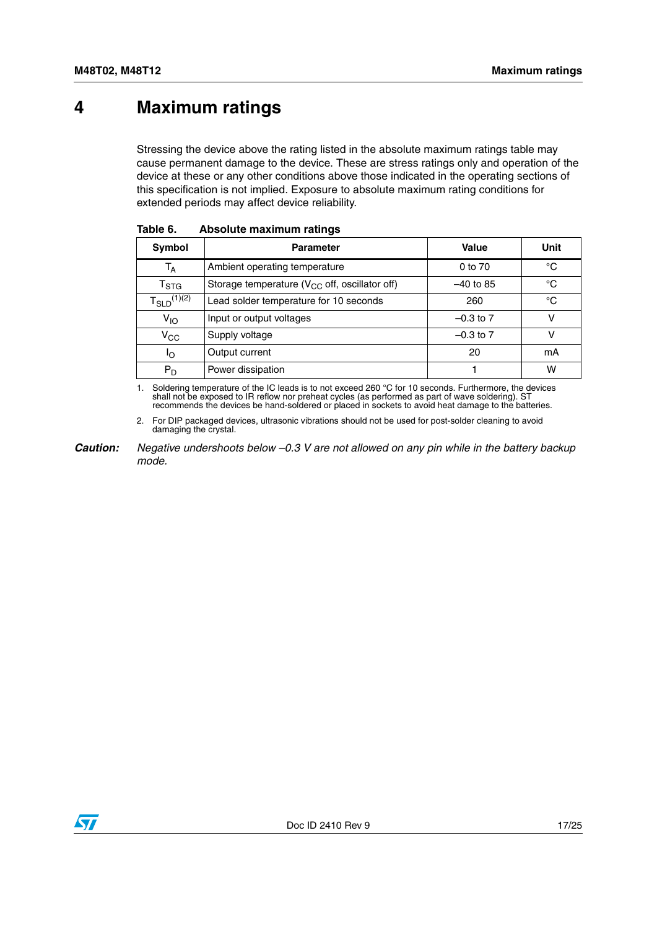# <span id="page-16-0"></span>**4 Maximum ratings**

Stressing the device above the rating listed in the absolute maximum ratings table may cause permanent damage to the device. These are stress ratings only and operation of the device at these or any other conditions above those indicated in the operating sections of this specification is not implied. Exposure to absolute maximum rating conditions for extended periods may affect device reliability.

| Symbol                    | <b>Parameter</b>                                    | Value         | Unit |
|---------------------------|-----------------------------------------------------|---------------|------|
| $T_A$                     | Ambient operating temperature                       | 0 to 70       | °C   |
| $\mathsf{T}_{\text{STG}}$ | Storage temperature ( $V_{CC}$ off, oscillator off) | $-40$ to 85   | °C   |
| $T_{SLD}^{(1)(2)}$        | Lead solder temperature for 10 seconds              | 260           | °C   |
| $V_{1O}$                  | Input or output voltages                            | $-0.3$ to $7$ | ν    |
| $\rm v_{\rm cc}$          | Supply voltage                                      | $-0.3$ to $7$ |      |
| הו                        | Output current                                      | 20            | mA   |
| $P_D$                     | Power dissipation                                   |               | W    |

<span id="page-16-1"></span>

| Table 6. | Absolute maximum ratings |  |  |
|----------|--------------------------|--|--|
|----------|--------------------------|--|--|

<span id="page-16-2"></span>1. Soldering temperature of the IC leads is to not exceed 260 °C for 10 seconds. Furthermore, the devices shall not be exposed to IR reflow nor preheat cycles (as performed as part of wave soldering). ST recommends the dev

2. For DIP packaged devices, ultrasonic vibrations should not be used for post-solder cleaning to avoid damaging the crystal.

*Caution: Negative undershoots below –0.3 V are not allowed on any pin while in the battery backup mode.*

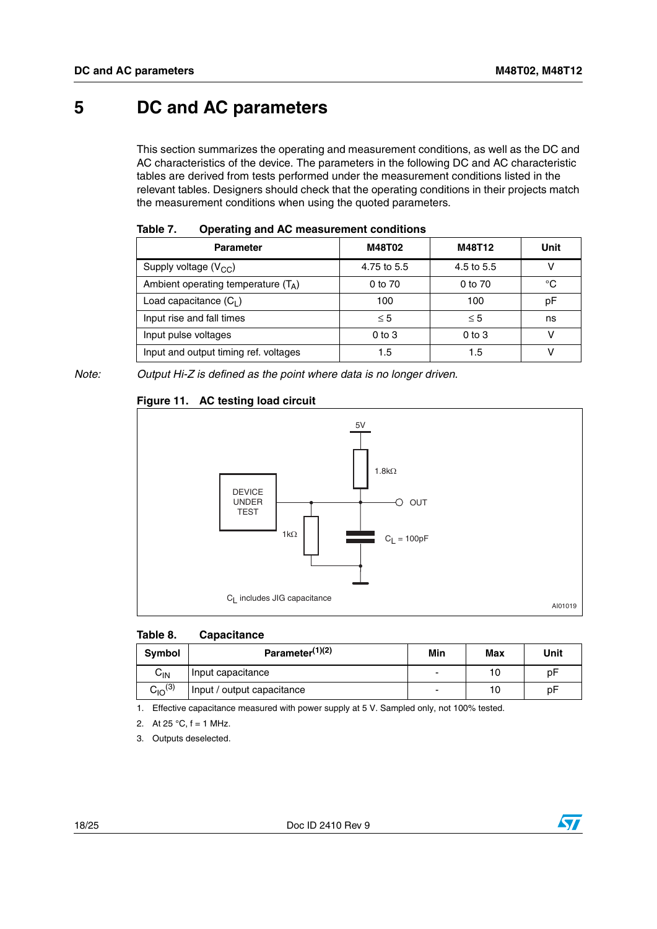# <span id="page-17-0"></span>**5 DC and AC parameters**

This section summarizes the operating and measurement conditions, as well as the DC and AC characteristics of the device. The parameters in the following DC and AC characteristic tables are derived from tests performed under the measurement conditions listed in the relevant tables. Designers should check that the operating conditions in their projects match the measurement conditions when using the quoted parameters.

| .<br><u> Thermin and the model chief contraction</u> |             |            |      |  |
|------------------------------------------------------|-------------|------------|------|--|
| <b>Parameter</b>                                     | M48T02      | M48T12     | Unit |  |
| Supply voltage $(V_{CC})$                            | 4.75 to 5.5 | 4.5 to 5.5 |      |  |
| Ambient operating temperature $(T_A)$                | 0 to 70     | 0 to 70    | °C   |  |
| Load capacitance $(C_1)$                             | 100         | 100        | pF   |  |
| Input rise and fall times                            | $\leq 5$    | $\leq 5$   | ns   |  |
| Input pulse voltages                                 | $0$ to $3$  | $0$ to $3$ | v    |  |
| Input and output timing ref. voltages                | 1.5         | 1.5        |      |  |

<span id="page-17-1"></span>

|  | Table 7. | <b>Operating and AC measurement conditions</b> |
|--|----------|------------------------------------------------|
|--|----------|------------------------------------------------|

*Note: Output Hi-Z is defined as the point where data is no longer driven.*

#### <span id="page-17-3"></span>**Figure 11. AC testing load circuit**



#### <span id="page-17-2"></span>**Table 8. Capacitance**

| Symbol                     | Parameter $(1)(2)$         | Min                      | Max | Unit |
|----------------------------|----------------------------|--------------------------|-----|------|
| $\mathsf{C}_{\mathsf{IN}}$ | Input capacitance          | ٠                        | 10  | рF   |
| $C_{10}^{(3)}$             | Input / output capacitance | $\overline{\phantom{0}}$ | 10  | рF   |

1. Effective capacitance measured with power supply at 5 V. Sampled only, not 100% tested.

- 2. At  $25 °C$ ,  $f = 1$  MHz.
- 3. Outputs deselected.

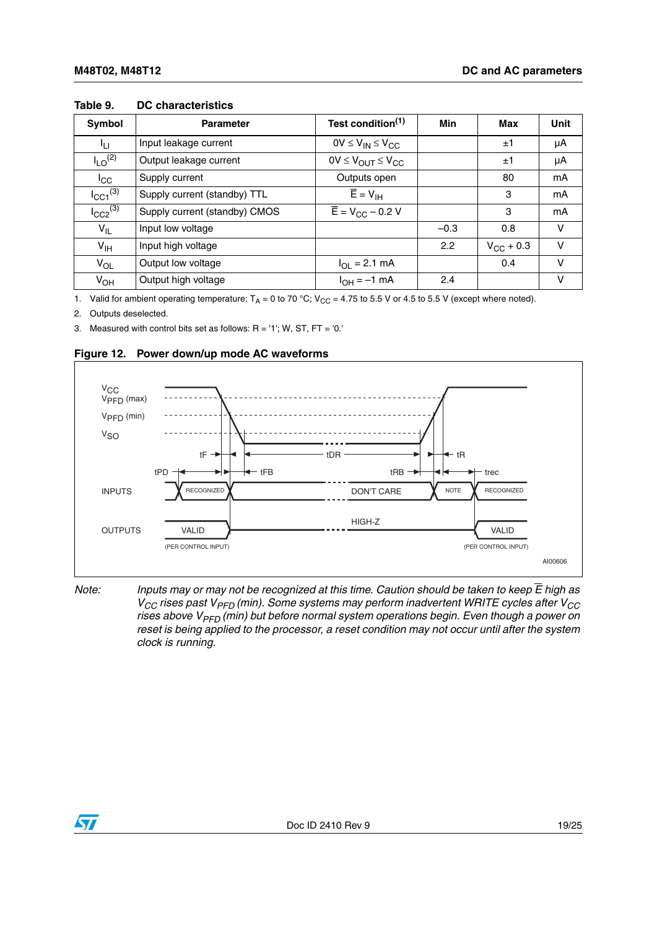| Symbol                   | <b>Parameter</b>              | Test condition <sup>(1)</sup>               | <b>Min</b> | Max                | <b>Unit</b> |
|--------------------------|-------------------------------|---------------------------------------------|------------|--------------------|-------------|
| Iц                       | Input leakage current         | $OV \leq V_{IN} \leq V_{CC}$                |            | ±1                 | μA          |
| $I_{LO}$ <sup>(2)</sup>  | Output leakage current        | $0V \leq V_{\text{OUT}} \leq V_{\text{CC}}$ |            | ±1                 | μA          |
| $I_{\rm CC}$             | Supply current                | Outputs open                                |            | 80                 | mA          |
| $I_{\text{CC1}}^{(3)}$   | Supply current (standby) TTL  | $\overline{E} = V_{\text{IH}}$              |            | 3                  | mA          |
| $I_{CC2}$ <sup>(3)</sup> | Supply current (standby) CMOS | $\overline{E} = V_{CC} - 0.2 V$             |            | 3                  | mA          |
| $V_{IL}$                 | Input low voltage             |                                             | $-0.3$     | 0.8                | $\vee$      |
| $V_{\text{IH}}$          | Input high voltage            |                                             | 2.2        | $V_{\rm CC}$ + 0.3 | $\vee$      |
| $V_{OL}$                 | Output low voltage            | $I_{OL} = 2.1$ mA                           |            | 0.4                | $\vee$      |
| $V_{OH}$                 | Output high voltage           | $I_{OH} = -1$ mA                            | 2.4        |                    | v           |

#### <span id="page-18-0"></span>**Table 9. DC characteristics**

1. Valid for ambient operating temperature:  $T_A = 0$  to 70 °C;  $V_{CC} = 4.75$  to 5.5 V or 4.5 to 5.5 V (except where noted).

2. Outputs deselected.

3. Measured with control bits set as follows:  $R = '1'$ ; W, ST, FT = '0.'

<span id="page-18-1"></span>



*Note: Inputs may or may not be recognized at this time. Caution should be taken to keep E high as V<sub>CC</sub> rises past V<sub>PFD</sub> (min). Some systems may perform inadvertent WRITE cycles after V<sub>CC</sub>* rises above V<sub>PFD</sub> (min) but before normal system operations begin. Even though a power on *reset is being applied to the processor, a reset condition may not occur until after the system clock is running.*

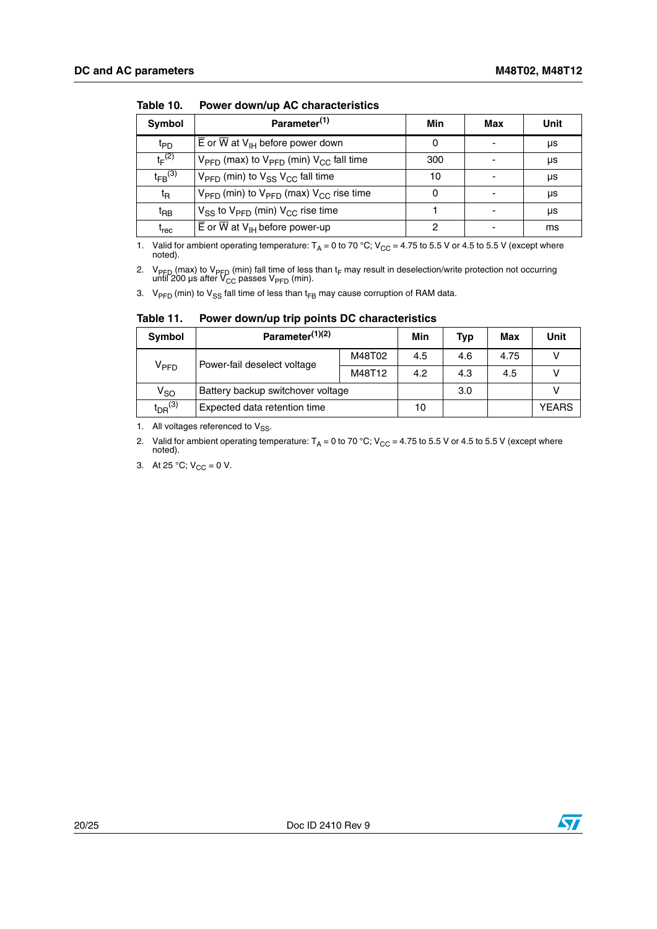| Symbol                        | Parameter <sup>(1)</sup>                                                   | Min | Max | Unit |
|-------------------------------|----------------------------------------------------------------------------|-----|-----|------|
| t <sub>PD</sub>               | $\overline{E}$ or $\overline{W}$ at $V_{\text{IH}}$ before power down      |     |     | μs   |
| $t_F^{(2)}$                   | $V_{\text{PFD}}$ (max) to $V_{\text{PFD}}$ (min) $V_{\text{CC}}$ fall time | 300 |     | μs   |
| $t_{FB}$ (3)                  | $V_{\text{PFD}}$ (min) to $V_{SS}$ $V_{CC}$ fall time                      | 10  |     | μs   |
| $t_{\mathsf{R}}$              | $V_{\text{PFD}}$ (min) to $V_{\text{PFD}}$ (max) $V_{\text{CC}}$ rise time | 0   |     | μs   |
| $t_{\mathsf{RB}}$             | $V_{SS}$ to $V_{PFD}$ (min) $V_{CC}$ rise time                             |     |     | μs   |
| $\mathfrak{t}_{\mathsf{rec}}$ | $\overline{E}$ or $\overline{W}$ at V <sub>IH</sub> before power-up        | 2   |     | ms   |

<span id="page-19-0"></span>**Table 10. Power down/up AC characteristics**

1. Valid for ambient operating temperature:  $T_A = 0$  to 70 °C; V<sub>CC</sub> = 4.75 to 5.5 V or 4.5 to 5.5 V (except where noted).

2. V<sub>PFD</sub> (max) to V<sub>PFD</sub> (min) fall time of less than t<sub>F</sub> may result in deselection/write protection not occurring<br>until 200 μs after V<sub>CC</sub> passes V<sub>PFD</sub> (min).

3.  $V_{\text{PFD}}$  (min) to  $V_{SS}$  fall time of less than t<sub>FB</sub> may cause corruption of RAM data.

| <b>Symbol</b>                      | Parameter <sup>(1)(2)</sup>       |        | Min | Typ | Max  | Unit  |
|------------------------------------|-----------------------------------|--------|-----|-----|------|-------|
|                                    | Power-fail deselect voltage       | M48T02 | 4.5 | 4.6 | 4.75 |       |
| V <sub>PFD</sub>                   | M48T12                            |        | 4.2 | 4.3 | 4.5  |       |
| $V_{SO}$                           | Battery backup switchover voltage |        |     | 3.0 |      |       |
| $\mathfrak{t}_{\textsf{DR}}^{(3)}$ | Expected data retention time      |        | 10  |     |      | YEARS |

<span id="page-19-1"></span>**Table 11. Power down/up trip points DC characteristics**

1. All voltages referenced to  $V_{SS}$ .

2. Valid for ambient operating temperature:  $T_A = 0$  to 70 °C; V<sub>CC</sub> = 4.75 to 5.5 V or 4.5 to 5.5 V (except where noted).

3. At 25 °C;  $V_{CC} = 0$  V.



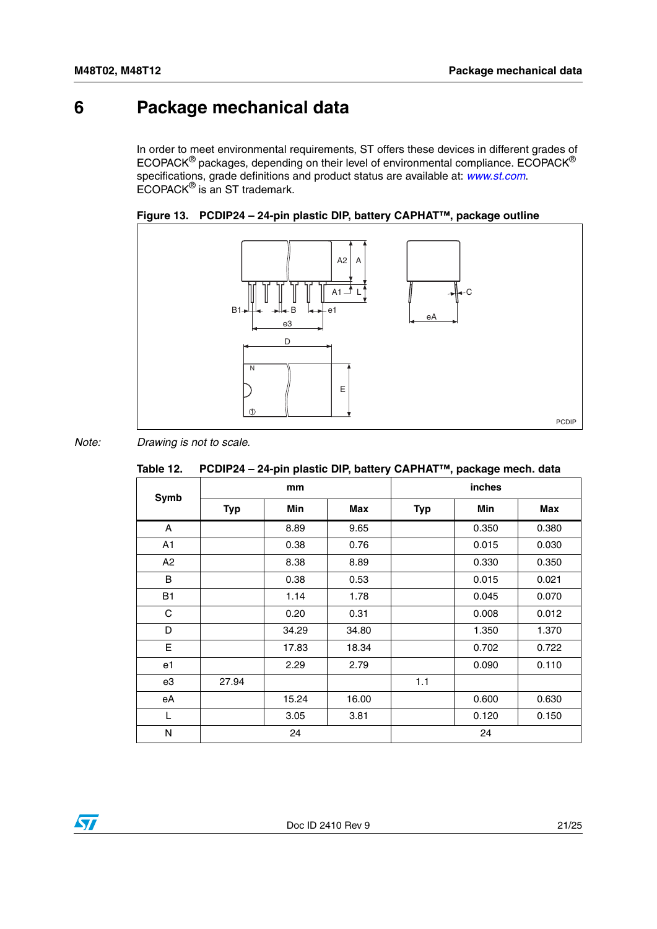# <span id="page-20-0"></span>**6 Package mechanical data**

In order to meet environmental requirements, ST offers these devices in different grades of ECOPACK® packages, depending on their level of environmental compliance. ECOPACK® specifications, grade definitions and product status are available at: *[www.st.com](http://www.st.com)*. ECOPACK® is an ST trademark.

<span id="page-20-2"></span>



*Note: Drawing is not to scale.*

<span id="page-20-1"></span>

|  | Table 12. PCDIP24 – 24-pin plastic DIP, battery CAPHAT™, package mech. data |  |
|--|-----------------------------------------------------------------------------|--|
|--|-----------------------------------------------------------------------------|--|

|      |            | .     |       |            |       |       |  |
|------|------------|-------|-------|------------|-------|-------|--|
| Symb | mm         |       |       | inches     |       |       |  |
|      | <b>Typ</b> | Min   | Max   | <b>Typ</b> | Min   | Max   |  |
| A    |            | 8.89  | 9.65  |            | 0.350 | 0.380 |  |
| A1   |            | 0.38  | 0.76  |            | 0.015 | 0.030 |  |
| A2   |            | 8.38  | 8.89  |            | 0.330 | 0.350 |  |
| B    |            | 0.38  | 0.53  |            | 0.015 | 0.021 |  |
| B1   |            | 1.14  | 1.78  |            | 0.045 | 0.070 |  |
| C    |            | 0.20  | 0.31  |            | 0.008 | 0.012 |  |
| D    |            | 34.29 | 34.80 |            | 1.350 | 1.370 |  |
| E    |            | 17.83 | 18.34 |            | 0.702 | 0.722 |  |
| e1   |            | 2.29  | 2.79  |            | 0.090 | 0.110 |  |
| e3   | 27.94      |       |       | 1.1        |       |       |  |
| eA   |            | 15.24 | 16.00 |            | 0.600 | 0.630 |  |
| L    |            | 3.05  | 3.81  |            | 0.120 | 0.150 |  |
| N    |            | 24    |       |            | 24    |       |  |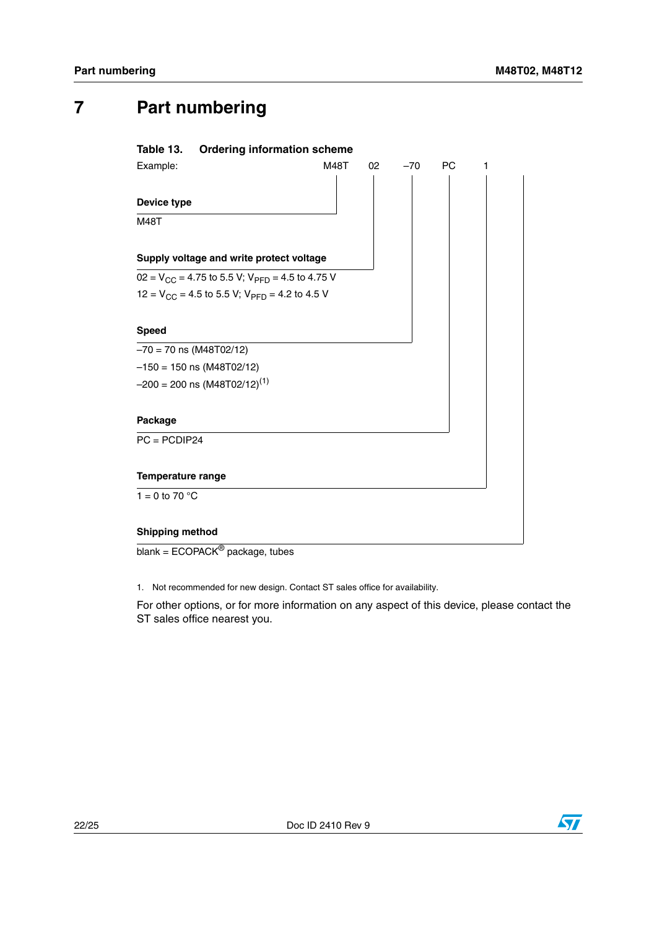# <span id="page-21-0"></span>**7 Part numbering**

<span id="page-21-1"></span>

1. Not recommended for new design. Contact ST sales office for availability.

For other options, or for more information on any aspect of this device, please contact the ST sales office nearest you.

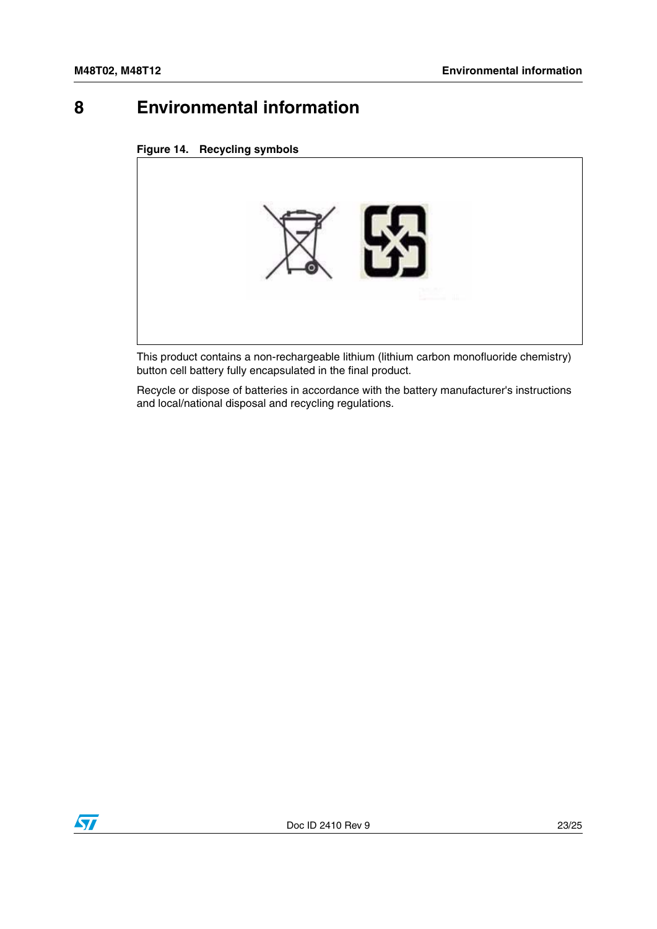# <span id="page-22-0"></span>**8 Environmental information**

#### <span id="page-22-1"></span>**Figure 14. Recycling symbols**



This product contains a non-rechargeable lithium (lithium carbon monofluoride chemistry) button cell battery fully encapsulated in the final product.

Recycle or dispose of batteries in accordance with the battery manufacturer's instructions and local/national disposal and recycling regulations.

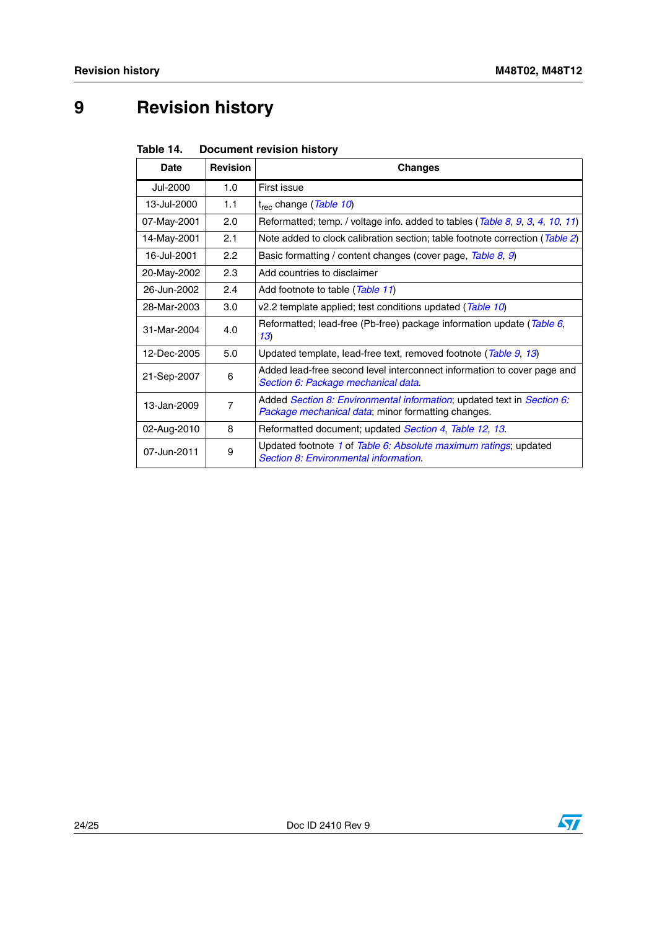# <span id="page-23-0"></span>**9 Revision history**

<span id="page-23-1"></span>

| Table 14. | <b>Document revision history</b> |  |
|-----------|----------------------------------|--|
|           |                                  |  |

| Date        | <b>Revision</b> | <b>Changes</b>                                                                                                                       |
|-------------|-----------------|--------------------------------------------------------------------------------------------------------------------------------------|
| Jul-2000    | 1.0             | First issue                                                                                                                          |
| 13-Jul-2000 | 1.1             | t <sub>rec</sub> change ( <i>Table 10</i> )                                                                                          |
| 07-May-2001 | 2.0             | Reformatted; temp. / voltage info. added to tables (Table 8, 9, 3, 4, 10, 11)                                                        |
| 14-May-2001 | 2.1             | Note added to clock calibration section; table footnote correction (Table 2)                                                         |
| 16-Jul-2001 | 2.2             | Basic formatting / content changes (cover page, Table 8, 9)                                                                          |
| 20-May-2002 | 2.3             | Add countries to disclaimer                                                                                                          |
| 26-Jun-2002 | 2.4             | Add footnote to table (Table 11)                                                                                                     |
| 28-Mar-2003 | 3.0             | v2.2 template applied; test conditions updated (Table 10)                                                                            |
| 31-Mar-2004 | 4.0             | Reformatted; lead-free (Pb-free) package information update (Table 6,<br>13)                                                         |
| 12-Dec-2005 | 5.0             | Updated template, lead-free text, removed footnote (Table 9, 13)                                                                     |
| 21-Sep-2007 | 6               | Added lead-free second level interconnect information to cover page and<br>Section 6: Package mechanical data.                       |
| 13-Jan-2009 | $\overline{7}$  | Added Section 8: Environmental information; updated text in Section 6:<br><i>Package mechanical data</i> ; minor formatting changes. |
| 02-Aug-2010 | 8               | Reformatted document; updated <i>Section 4, Table 12, 13</i> .                                                                       |
| 07-Jun-2011 | 9               | Updated footnote 1 of Table 6: Absolute maximum ratings; updated<br>Section 8: Environmental information.                            |